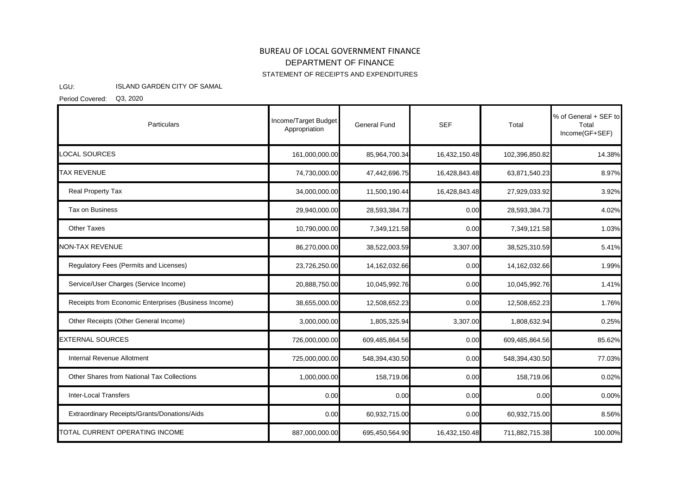## BUREAU OF LOCAL GOVERNMENT FINANCE STATEMENT OF RECEIPTS AND EXPENDITURES DEPARTMENT OF FINANCE

## LGU: ISLAND GARDEN CITY OF SAMAL

Period Covered: Q3, 2020

| Particulars                                          | Income/Target Budget<br>Appropriation | General Fund   | <b>SEF</b>    | Total          | % of General + SEF to<br>Total<br>Income(GF+SEF) |
|------------------------------------------------------|---------------------------------------|----------------|---------------|----------------|--------------------------------------------------|
| <b>LOCAL SOURCES</b>                                 | 161,000,000.00                        | 85,964,700.34  | 16,432,150.48 | 102,396,850.82 | 14.38%                                           |
| <b>TAX REVENUE</b>                                   | 74,730,000.00                         | 47,442,696.75  | 16,428,843.48 | 63,871,540.23  | 8.97%                                            |
| Real Property Tax                                    | 34,000,000.00                         | 11,500,190.44  | 16,428,843.48 | 27,929,033.92  | 3.92%                                            |
| Tax on Business                                      | 29,940,000.00                         | 28,593,384.73  | 0.00          | 28,593,384.73  | 4.02%                                            |
| <b>Other Taxes</b>                                   | 10,790,000.00                         | 7,349,121.58   | 0.00          | 7,349,121.58   | 1.03%                                            |
| <b>NON-TAX REVENUE</b>                               | 86,270,000.00                         | 38,522,003.59  | 3,307.00      | 38,525,310.59  | 5.41%                                            |
| Regulatory Fees (Permits and Licenses)               | 23,726,250.00                         | 14,162,032.66  | 0.00          | 14,162,032.66  | 1.99%                                            |
| Service/User Charges (Service Income)                | 20,888,750.00                         | 10,045,992.76  | 0.00          | 10,045,992.76  | 1.41%                                            |
| Receipts from Economic Enterprises (Business Income) | 38,655,000.00                         | 12,508,652.23  | 0.00          | 12,508,652.23  | 1.76%                                            |
| Other Receipts (Other General Income)                | 3,000,000.00                          | 1,805,325.94   | 3,307.00      | 1,808,632.94   | 0.25%                                            |
| <b>EXTERNAL SOURCES</b>                              | 726,000,000.00                        | 609,485,864.56 | 0.00          | 609,485,864.56 | 85.62%                                           |
| Internal Revenue Allotment                           | 725,000,000.00                        | 548,394,430.50 | 0.00          | 548,394,430.50 | 77.03%                                           |
| Other Shares from National Tax Collections           | 1,000,000.00                          | 158,719.06     | 0.00          | 158,719.06     | 0.02%                                            |
| <b>Inter-Local Transfers</b>                         | 0.00                                  | 0.00           | 0.00          | 0.00           | 0.00%                                            |
| Extraordinary Receipts/Grants/Donations/Aids         | 0.00                                  | 60,932,715.00  | 0.00          | 60,932,715.00  | 8.56%                                            |
| TOTAL CURRENT OPERATING INCOME                       | 887,000,000.00                        | 695,450,564.90 | 16,432,150.48 | 711,882,715.38 | 100.00%                                          |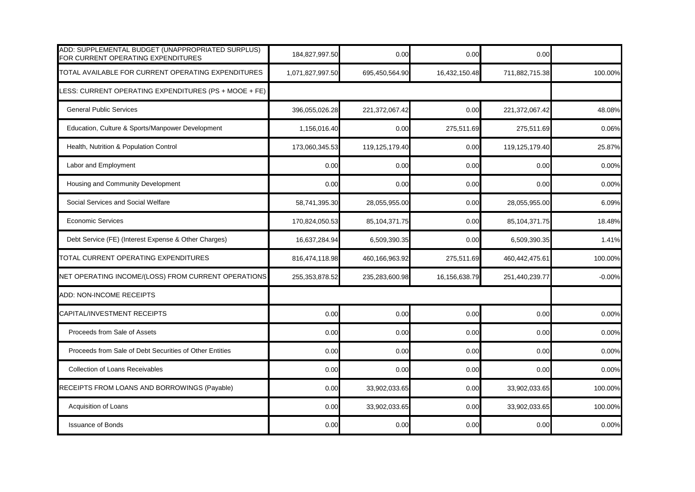| ADD: SUPPLEMENTAL BUDGET (UNAPPROPRIATED SURPLUS)<br>FOR CURRENT OPERATING EXPENDITURES | 184,827,997.50   | 0.00             | 0.00          | 0.00             |          |
|-----------------------------------------------------------------------------------------|------------------|------------------|---------------|------------------|----------|
| TOTAL AVAILABLE FOR CURRENT OPERATING EXPENDITURES                                      | 1,071,827,997.50 | 695,450,564.90   | 16,432,150.48 | 711,882,715.38   | 100.00%  |
| LESS: CURRENT OPERATING EXPENDITURES (PS + MOOE + FE)                                   |                  |                  |               |                  |          |
| <b>General Public Services</b>                                                          | 396,055,026.28   | 221,372,067.42   | 0.00          | 221,372,067.42   | 48.08%   |
| Education, Culture & Sports/Manpower Development                                        | 1,156,016.40     | 0.00             | 275,511.69    | 275,511.69       | 0.06%    |
| Health, Nutrition & Population Control                                                  | 173,060,345.53   | 119,125,179.40   | 0.00          | 119,125,179.40   | 25.87%   |
| Labor and Employment                                                                    | 0.00             | 0.00             | 0.00          | 0.00             | 0.00%    |
| Housing and Community Development                                                       | 0.00             | 0.00             | 0.00          | 0.00             | 0.00%    |
| Social Services and Social Welfare                                                      | 58,741,395.30    | 28,055,955.00    | 0.00          | 28,055,955.00    | 6.09%    |
| <b>Economic Services</b>                                                                | 170,824,050.53   | 85, 104, 371. 75 | 0.00          | 85, 104, 371. 75 | 18.48%   |
| Debt Service (FE) (Interest Expense & Other Charges)                                    | 16,637,284.94    | 6,509,390.35     | 0.00          | 6,509,390.35     | 1.41%    |
| TOTAL CURRENT OPERATING EXPENDITURES                                                    | 816,474,118.98   | 460,166,963.92   | 275,511.69    | 460,442,475.61   | 100.00%  |
| NET OPERATING INCOME/(LOSS) FROM CURRENT OPERATIONS                                     | 255, 353, 878.52 | 235,283,600.98   | 16,156,638.79 | 251,440,239.77   | $-0.00%$ |
| ADD: NON-INCOME RECEIPTS                                                                |                  |                  |               |                  |          |
| CAPITAL/INVESTMENT RECEIPTS                                                             | 0.00             | 0.00             | 0.00          | 0.00             | 0.00%    |
| Proceeds from Sale of Assets                                                            | 0.00             | 0.00             | 0.00          | 0.00             | 0.00%    |
| Proceeds from Sale of Debt Securities of Other Entities                                 | 0.00             | 0.00             | 0.00          | 0.00             | 0.00%    |
| Collection of Loans Receivables                                                         | 0.00             | 0.00             | 0.00          | 0.00             | 0.00%    |
| RECEIPTS FROM LOANS AND BORROWINGS (Payable)                                            | 0.00             | 33,902,033.65    | 0.00          | 33,902,033.65    | 100.00%  |
| Acquisition of Loans                                                                    | 0.00             | 33,902,033.65    | 0.00          | 33,902,033.65    | 100.00%  |
| <b>Issuance of Bonds</b>                                                                | 0.00             | 0.00             | 0.00          | 0.00             | 0.00%    |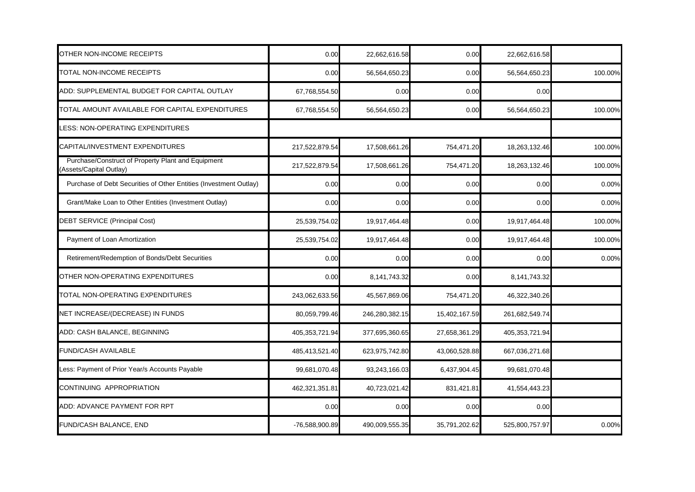| OTHER NON-INCOME RECEIPTS                                                    | 0.00           | 22,662,616.58  | 0.00          | 22,662,616.58  |         |
|------------------------------------------------------------------------------|----------------|----------------|---------------|----------------|---------|
| TOTAL NON-INCOME RECEIPTS                                                    | 0.00           | 56,564,650.23  | 0.00          | 56,564,650.23  | 100.00% |
| ADD: SUPPLEMENTAL BUDGET FOR CAPITAL OUTLAY                                  | 67,768,554.50  | 0.00           | 0.00          | 0.00           |         |
| TOTAL AMOUNT AVAILABLE FOR CAPITAL EXPENDITURES                              | 67,768,554.50  | 56,564,650.23  | 0.00          | 56,564,650.23  | 100.00% |
| LESS: NON-OPERATING EXPENDITURES                                             |                |                |               |                |         |
| CAPITAL/INVESTMENT EXPENDITURES                                              | 217,522,879.54 | 17,508,661.26  | 754,471.20    | 18,263,132.46  | 100.00% |
| Purchase/Construct of Property Plant and Equipment<br>Assets/Capital Outlay) | 217,522,879.54 | 17,508,661.26  | 754,471.20    | 18,263,132.46  | 100.00% |
| Purchase of Debt Securities of Other Entities (Investment Outlay)            | 0.00           | 0.00           | 0.00          | 0.00           | 0.00%   |
| Grant/Make Loan to Other Entities (Investment Outlay)                        | 0.00           | 0.00           | 0.00          | 0.00           | 0.00%   |
| DEBT SERVICE (Principal Cost)                                                | 25,539,754.02  | 19,917,464.48  | 0.00          | 19,917,464.48  | 100.00% |
| Payment of Loan Amortization                                                 | 25,539,754.02  | 19,917,464.48  | 0.00          | 19,917,464.48  | 100.00% |
| Retirement/Redemption of Bonds/Debt Securities                               | 0.00           | 0.00           | 0.00          | 0.00           | 0.00%   |
| OTHER NON-OPERATING EXPENDITURES                                             | 0.00           | 8,141,743.32   | 0.00          | 8,141,743.32   |         |
| TOTAL NON-OPERATING EXPENDITURES                                             | 243,062,633.56 | 45,567,869.06  | 754,471.20    | 46,322,340.26  |         |
| NET INCREASE/(DECREASE) IN FUNDS                                             | 80,059,799.46  | 246,280,382.15 | 15,402,167.59 | 261,682,549.74 |         |
| ADD: CASH BALANCE, BEGINNING                                                 | 405,353,721.94 | 377,695,360.65 | 27,658,361.29 | 405,353,721.94 |         |
| <b>FUND/CASH AVAILABLE</b>                                                   | 485,413,521.40 | 623,975,742.80 | 43,060,528.88 | 667,036,271.68 |         |
| Less: Payment of Prior Year/s Accounts Payable                               | 99,681,070.48  | 93,243,166.03  | 6,437,904.45  | 99,681,070.48  |         |
| CONTINUING APPROPRIATION                                                     | 462,321,351.81 | 40,723,021.42  | 831,421.81    | 41,554,443.23  |         |
| ADD: ADVANCE PAYMENT FOR RPT                                                 | 0.00           | 0.00           | 0.00          | 0.00           |         |
| <b>FUND/CASH BALANCE, END</b>                                                | -76,588,900.89 | 490,009,555.35 | 35,791,202.62 | 525,800,757.97 | 0.00%   |